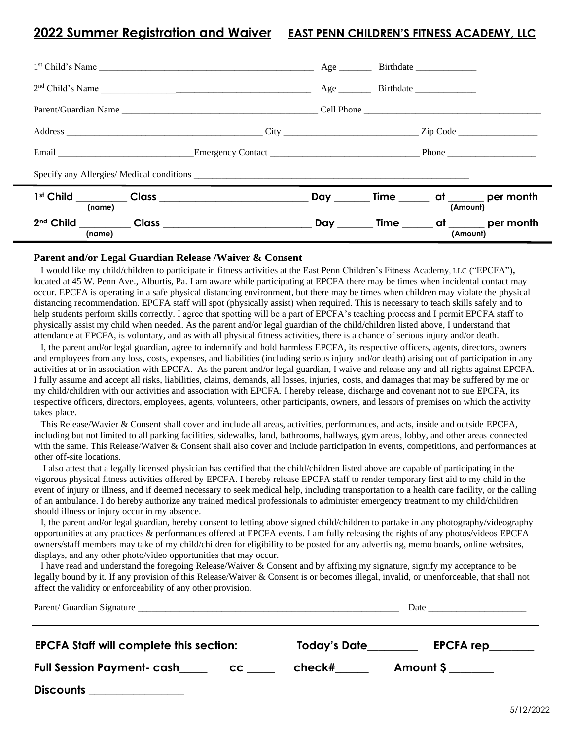## **2022 Summer Registration and Waiver EAST PENN CHILDREN'S FITNESS ACADEMY, LLC**

| $1st$ Child's Name                                                                                                                |               |          |                                                |
|-----------------------------------------------------------------------------------------------------------------------------------|---------------|----------|------------------------------------------------|
| 2 <sup>nd</sup> Child's Name                                                                                                      | Age Birthdate |          |                                                |
|                                                                                                                                   |               |          |                                                |
|                                                                                                                                   |               |          |                                                |
|                                                                                                                                   |               |          |                                                |
|                                                                                                                                   |               |          |                                                |
| (name)                                                                                                                            |               | (Amount) | Day ________ Time _______ at _______ per month |
| 2 <sup>nd</sup> Child __________ Class __________________________________Day ________ Time _______ at _______ per month<br>(name) |               | (Amount) |                                                |

## **Parent and/or Legal Guardian Release /Waiver & Consent**

 I would like my child/children to participate in fitness activities at the East Penn Children's Fitness Academy, LLC ("EPCFA")**,**  located at 45 W. Penn Ave., Alburtis, Pa. I am aware while participating at EPCFA there may be times when incidental contact may occur. EPCFA is operating in a safe physical distancing environment, but there may be times when children may violate the physical distancing recommendation. EPCFA staff will spot (physically assist) when required. This is necessary to teach skills safely and to help students perform skills correctly. I agree that spotting will be a part of EPCFA's teaching process and I permit EPCFA staff to physically assist my child when needed. As the parent and/or legal guardian of the child/children listed above, I understand that attendance at EPCFA, is voluntary, and as with all physical fitness activities, there is a chance of serious injury and/or death.

 I, the parent and/or legal guardian, agree to indemnify and hold harmless EPCFA, its respective officers, agents, directors, owners and employees from any loss, costs, expenses, and liabilities (including serious injury and/or death) arising out of participation in any activities at or in association with EPCFA. As the parent and/or legal guardian, I waive and release any and all rights against EPCFA. I fully assume and accept all risks, liabilities, claims, demands, all losses, injuries, costs, and damages that may be suffered by me or my child/children with our activities and association with EPCFA. I hereby release, discharge and covenant not to sue EPCFA, its respective officers, directors, employees, agents, volunteers, other participants, owners, and lessors of premises on which the activity takes place.

 This Release/Wavier & Consent shall cover and include all areas, activities, performances, and acts, inside and outside EPCFA, including but not limited to all parking facilities, sidewalks, land, bathrooms, hallways, gym areas, lobby, and other areas connected with the same. This Release/Waiver & Consent shall also cover and include participation in events, competitions, and performances at other off-site locations.

 I also attest that a legally licensed physician has certified that the child/children listed above are capable of participating in the vigorous physical fitness activities offered by EPCFA. I hereby release EPCFA staff to render temporary first aid to my child in the event of injury or illness, and if deemed necessary to seek medical help, including transportation to a health care facility, or the calling of an ambulance. I do hereby authorize any trained medical professionals to administer emergency treatment to my child/children should illness or injury occur in my absence.

 I, the parent and/or legal guardian, hereby consent to letting above signed child/children to partake in any photography/videography opportunities at any practices & performances offered at EPCFA events. I am fully releasing the rights of any photos/videos EPCFA owners/staff members may take of my child/children for eligibility to be posted for any advertising, memo boards, online websites, displays, and any other photo/video opportunities that may occur.

 I have read and understand the foregoing Release/Waiver & Consent and by affixing my signature, signify my acceptance to be legally bound by it. If any provision of this Release/Waiver & Consent is or becomes illegal, invalid, or unenforceable, that shall not affect the validity or enforceability of any other provision.

| <b>EPCFA Staff will complete this section:</b> |    | Today's Date | EPCFA rep |  |  |
|------------------------------------------------|----|--------------|-----------|--|--|
| <b>Full Session Payment- cash</b>              | cc | check#       | Amount \$ |  |  |
| <b>Discounts</b>                               |    |              |           |  |  |